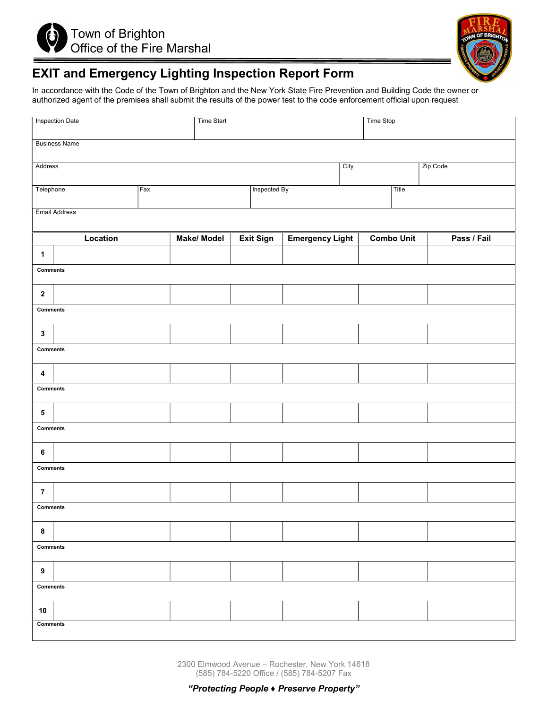



# EXIT and Emergency Lighting Inspection Report Form

In accordance with the Code of the Town of Brighton and the New York State Fire Prevention and Building Code the owner or authorized agent of the premises shall submit the results of the power test to the code enforcement official upon request

|                             | <b>Inspection Date</b> | Time Start |                   |  |           |                        | Time Stop |                   |       |             |
|-----------------------------|------------------------|------------|-------------------|--|-----------|------------------------|-----------|-------------------|-------|-------------|
| <b>Business Name</b>        |                        |            |                   |  |           |                        |           |                   |       |             |
| Address<br>City<br>Zip Code |                        |            |                   |  |           |                        |           |                   |       |             |
| Telephone<br>Fax            |                        |            | Inspected By      |  |           |                        |           |                   | Title |             |
| <b>Email Address</b>        |                        |            |                   |  |           |                        |           |                   |       |             |
|                             | Location               |            | <b>Make/Model</b> |  | Exit Sign | <b>Emergency Light</b> |           | <b>Combo Unit</b> |       | Pass / Fail |
| $\mathbf{1}$                |                        |            |                   |  |           |                        |           |                   |       |             |
| <b>Comments</b>             |                        |            |                   |  |           |                        |           |                   |       |             |
| $\mathbf 2$                 |                        |            |                   |  |           |                        |           |                   |       |             |
| <b>Comments</b>             |                        |            |                   |  |           |                        |           |                   |       |             |
| $\mathbf{3}$                |                        |            |                   |  |           |                        |           |                   |       |             |
| <b>Comments</b>             |                        |            |                   |  |           |                        |           |                   |       |             |
| $\boldsymbol{4}$            |                        |            |                   |  |           |                        |           |                   |       |             |
| <b>Comments</b>             |                        |            |                   |  |           |                        |           |                   |       |             |
| ${\bf 5}$                   |                        |            |                   |  |           |                        |           |                   |       |             |
| <b>Comments</b>             |                        |            |                   |  |           |                        |           |                   |       |             |
| $\bf 6$                     |                        |            |                   |  |           |                        |           |                   |       |             |
| <b>Comments</b>             |                        |            |                   |  |           |                        |           |                   |       |             |
| $\overline{7}$              |                        |            |                   |  |           |                        |           |                   |       |             |
| <b>Comments</b>             |                        |            |                   |  |           |                        |           |                   |       |             |
| 8                           |                        |            |                   |  |           |                        |           |                   |       |             |
| <b>Comments</b>             |                        |            |                   |  |           |                        |           |                   |       |             |
| $\boldsymbol{9}$            |                        |            |                   |  |           |                        |           |                   |       |             |
| <b>Comments</b>             |                        |            |                   |  |           |                        |           |                   |       |             |
| 10                          |                        |            |                   |  |           |                        |           |                   |       |             |
| <b>Comments</b>             |                        |            |                   |  |           |                        |           |                   |       |             |

2300 Elmwood Avenue – Rochester, New York 14618 (585) 784-5220 Office / (585) 784-5207 Fax